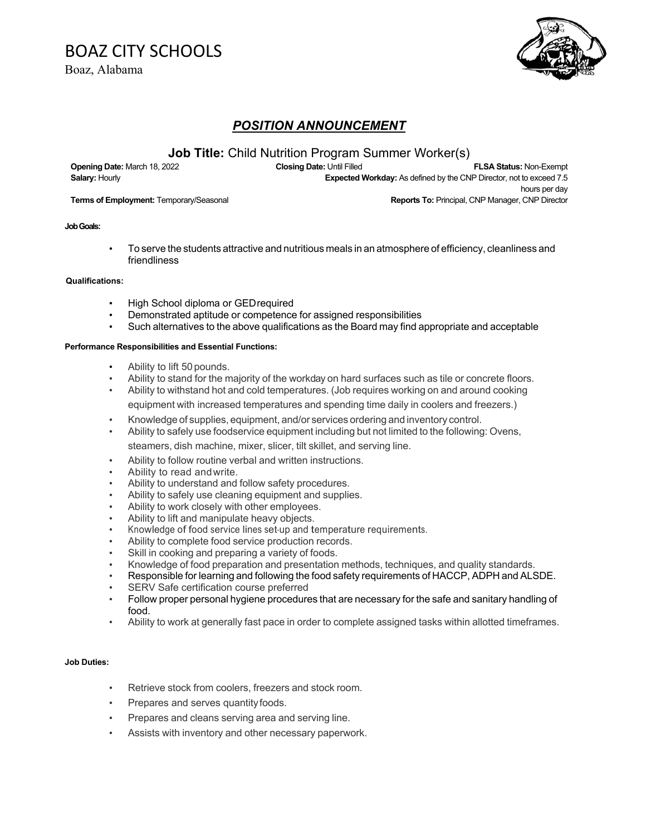## BOAZ CITY SCHOOLS

Boaz, Alabama



## *POSITION ANNOUNCEMENT*

### **Job Title:** Child Nutrition Program Summer Worker(s)

**Opening Date:** March 18, 2022 **Closing Date:** Until Filled **FLSA Status:** Non-Exempt **Salary:** Hourly **Expected Workday:** As defined by the CNP Director, not to exceed 7.5 hours per day **Terms of Employment:** Temporary/Seasonal **Reports To: Principal, CNP Manager, CNP Director** 

#### **Job Goals:**

• To serve the students attractive and nutritious meals in an atmosphere of efficiency, cleanliness and friendliness

#### **Qualifications:**

- High School diploma or GEDrequired
- Demonstrated aptitude or competence for assigned responsibilities
- Such alternatives to the above qualifications as the Board may find appropriate and acceptable

#### **Performance Responsibilities and Essential Functions:**

- Ability to lift 50 pounds.
- Ability to stand for the majority of the workday on hard surfaces such as tile or concrete floors.
- Ability to withstand hot and cold temperatures. (Job requires working on and around cooking equipment with increased temperatures and spending time daily in coolers and freezers.)
- Knowledge of supplies, equipment, and/or services ordering and inventory control.
- Ability to safely use foodservice equipment including but not limited to the following: Ovens,

steamers, dish machine, mixer, slicer, tilt skillet, and serving line.

- Ability to follow routine verbal and written instructions.
- Ability to read andwrite.
- Ability to understand and follow safety procedures.
- Ability to safely use cleaning equipment and supplies.
- Ability to work closely with other employees.
- Ability to lift and manipulate heavy objects.
- Knowledge of food service lines set-up and temperature requirements.
- Ability to complete food service production records.
- Skill in cooking and preparing a variety of foods.
- Knowledge of food preparation and presentation methods, techniques, and quality standards.
- Responsible for learning and following the food safety requirements of HACCP, ADPH and ALSDE.
- SERV Safe certification course preferred
- Follow proper personal hygiene procedures that are necessary for the safe and sanitary handling of food.
- Ability to work at generally fast pace in order to complete assigned tasks within allotted timeframes.

#### **Job Duties:**

- Retrieve stock from coolers, freezers and stock room.
- Prepares and serves quantity foods.
- Prepares and cleans serving area and serving line.
- Assists with inventory and other necessary paperwork.